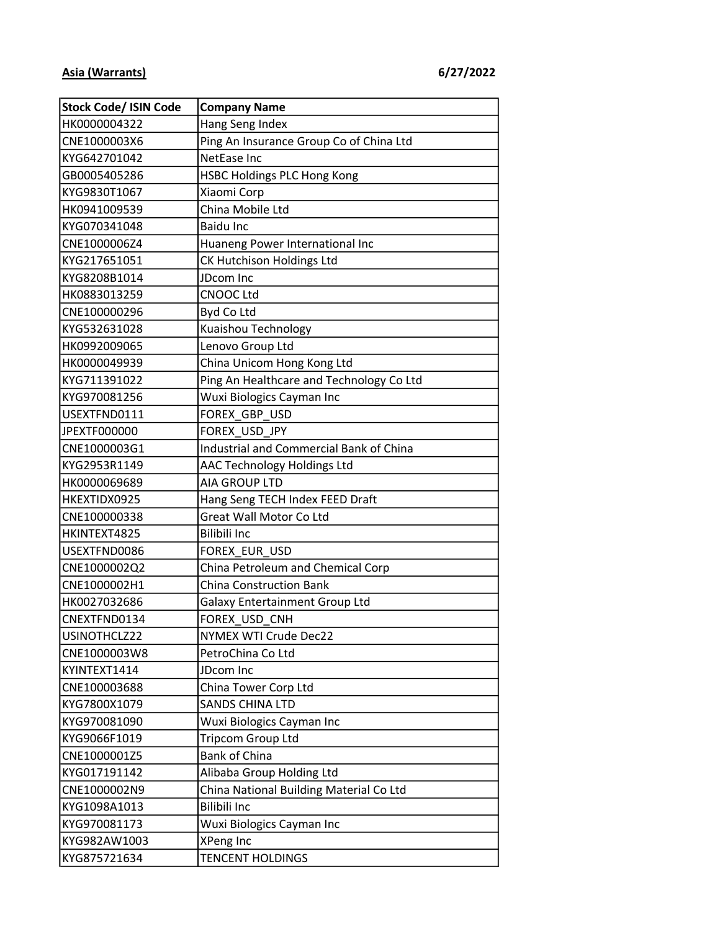| <b>Stock Code/ ISIN Code</b> | <b>Company Name</b>                      |
|------------------------------|------------------------------------------|
| HK0000004322                 | Hang Seng Index                          |
| CNE1000003X6                 | Ping An Insurance Group Co of China Ltd  |
| KYG642701042                 | NetEase Inc                              |
| GB0005405286                 | <b>HSBC Holdings PLC Hong Kong</b>       |
| KYG9830T1067                 | Xiaomi Corp                              |
| HK0941009539                 | China Mobile Ltd                         |
| KYG070341048                 | <b>Baidu Inc</b>                         |
| CNE1000006Z4                 | Huaneng Power International Inc          |
| KYG217651051                 | CK Hutchison Holdings Ltd                |
| KYG8208B1014                 | JDcom Inc                                |
| HK0883013259                 | <b>CNOOC Ltd</b>                         |
| CNE100000296                 | Byd Co Ltd                               |
| KYG532631028                 | Kuaishou Technology                      |
| HK0992009065                 | Lenovo Group Ltd                         |
| HK0000049939                 | China Unicom Hong Kong Ltd               |
| KYG711391022                 | Ping An Healthcare and Technology Co Ltd |
| KYG970081256                 | Wuxi Biologics Cayman Inc                |
| USEXTFND0111                 | FOREX GBP USD                            |
| JPEXTF000000                 | FOREX USD JPY                            |
| CNE1000003G1                 | Industrial and Commercial Bank of China  |
| KYG2953R1149                 | AAC Technology Holdings Ltd              |
| HK0000069689                 | <b>AIA GROUP LTD</b>                     |
| HKEXTIDX0925                 | Hang Seng TECH Index FEED Draft          |
| CNE100000338                 | Great Wall Motor Co Ltd                  |
| HKINTEXT4825                 | <b>Bilibili Inc</b>                      |
| USEXTFND0086                 | FOREX_EUR_USD                            |
| CNE1000002Q2                 | China Petroleum and Chemical Corp        |
| CNE1000002H1                 | <b>China Construction Bank</b>           |
| HK0027032686                 | <b>Galaxy Entertainment Group Ltd</b>    |
| CNEXTFND0134                 | FOREX USD CNH                            |
| USINOTHCLZ22                 | NYMEX WTI Crude Dec22                    |
| CNE1000003W8                 | PetroChina Co Ltd                        |
| KYINTEXT1414                 | JDcom Inc                                |
| CNE100003688                 | China Tower Corp Ltd                     |
| KYG7800X1079                 | <b>SANDS CHINA LTD</b>                   |
| KYG970081090                 | Wuxi Biologics Cayman Inc                |
| KYG9066F1019                 | Tripcom Group Ltd                        |
| CNE1000001Z5                 | Bank of China                            |
| KYG017191142                 | Alibaba Group Holding Ltd                |
| CNE1000002N9                 | China National Building Material Co Ltd  |
| KYG1098A1013                 | Bilibili Inc                             |
| KYG970081173                 | Wuxi Biologics Cayman Inc                |
| KYG982AW1003                 | XPeng Inc                                |
| KYG875721634                 | <b>TENCENT HOLDINGS</b>                  |